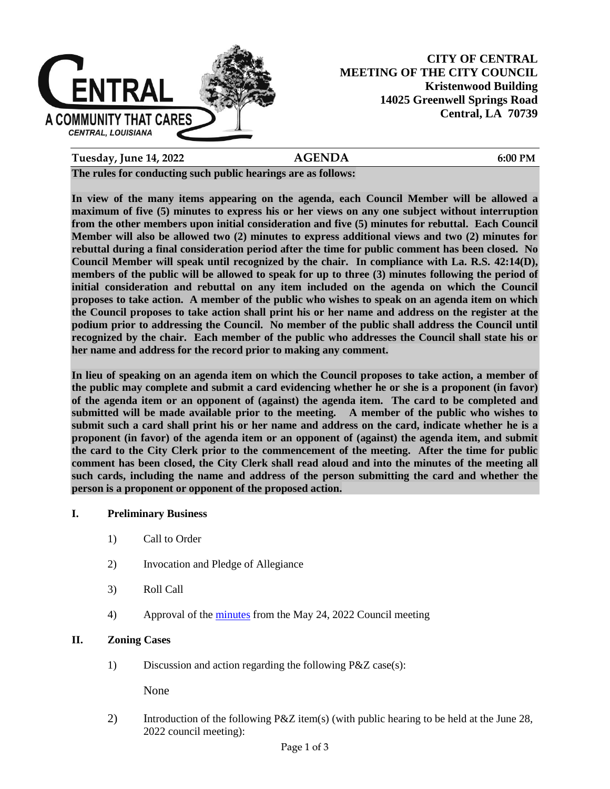

# **CITY OF CENTRAL MEETING OF THE CITY COUNCIL Kristenwood Building 14025 Greenwell Springs Road Central, LA 70739**

**Tuesday, June 14, 2022 AGENDA 6:00 PM**

**The rules for conducting such public hearings are as follows:**

**In view of the many items appearing on the agenda, each Council Member will be allowed a maximum of five (5) minutes to express his or her views on any one subject without interruption from the other members upon initial consideration and five (5) minutes for rebuttal. Each Council Member will also be allowed two (2) minutes to express additional views and two (2) minutes for rebuttal during a final consideration period after the time for public comment has been closed. No Council Member will speak until recognized by the chair. In compliance with La. R.S. 42:14(D), members of the public will be allowed to speak for up to three (3) minutes following the period of initial consideration and rebuttal on any item included on the agenda on which the Council proposes to take action. A member of the public who wishes to speak on an agenda item on which the Council proposes to take action shall print his or her name and address on the register at the podium prior to addressing the Council. No member of the public shall address the Council until recognized by the chair. Each member of the public who addresses the Council shall state his or her name and address for the record prior to making any comment.** 

**In lieu of speaking on an agenda item on which the Council proposes to take action, a member of the public may complete and submit a card evidencing whether he or she is a proponent (in favor) of the agenda item or an opponent of (against) the agenda item. The card to be completed and submitted will be made available prior to the meeting. A member of the public who wishes to submit such a card shall print his or her name and address on the card, indicate whether he is a proponent (in favor) of the agenda item or an opponent of (against) the agenda item, and submit the card to the City Clerk prior to the commencement of the meeting. After the time for public comment has been closed, the City Clerk shall read aloud and into the minutes of the meeting all such cards, including the name and address of the person submitting the card and whether the person is a proponent or opponent of the proposed action.**

## **I. Preliminary Business**

- 1) Call to Order
- 2) Invocation and Pledge of Allegiance
- 3) Roll Call
- 4) Approval of the [minutes](https://1872b029-c585-4faf-a7cd-f2cddca3bb7b.usrfiles.com/ugd/1872b0_9e7490efe9f74351a6b6c4d15a5f62ba.pdf) from the May 24, 2022 Council meeting

## **II. Zoning Cases**

1) Discussion and action regarding the following P&Z case(s):

None

2) Introduction of the following P&Z item(s) (with public hearing to be held at the June 28, 2022 council meeting):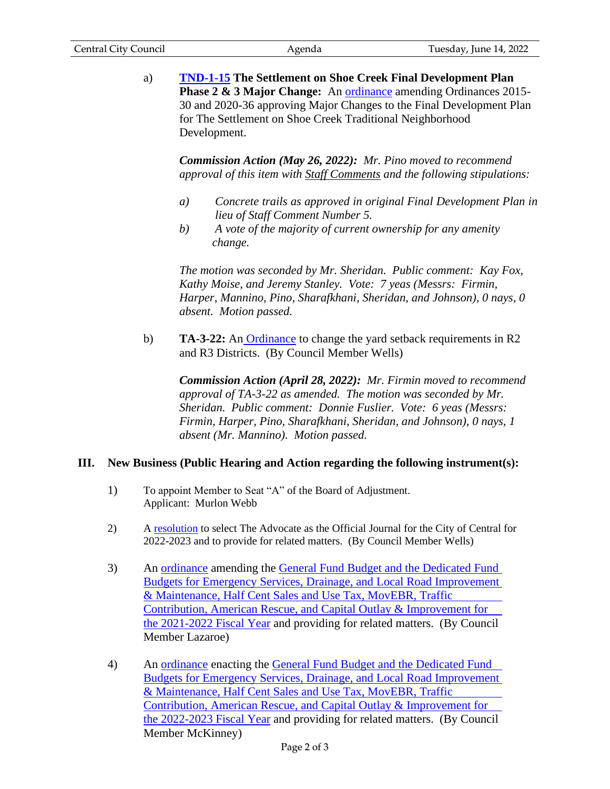| <b>Central City Council</b> | Agenda | Tuesday, June 14, 2022 |
|-----------------------------|--------|------------------------|
|                             |        |                        |

a) **[TND-1-15](https://1872b029-c585-4faf-a7cd-f2cddca3bb7b.usrfiles.com/ugd/1872b0_2e9fe374db6f4f3daa0e7606cc00069c.pdf) The Settlement on Shoe Creek Final Development Plan Phase 2 & 3 Major Change:** An [ordinance](https://1872b029-c585-4faf-a7cd-f2cddca3bb7b.usrfiles.com/ugd/1872b0_4c02d241c4604e20ab872627d47f3960.pdf) amending Ordinances 2015- 30 and 2020-36 approving Major Changes to the Final Development Plan for The Settlement on Shoe Creek Traditional Neighborhood Development.

*Commission Action (May 26, 2022): Mr. Pino moved to recommend approval of this item with Staff Comments and the following stipulations:*

- *a) Concrete trails as approved in original Final Development Plan in lieu of Staff Comment Number 5.*
- *b) A vote of the majority of current ownership for any amenity change.*

 *The motion was seconded by Mr. Sheridan. Public comment: Kay Fox, Kathy Moise, and Jeremy Stanley. Vote: 7 yeas (Messrs: Firmin, Harper, Mannino, Pino, Sharafkhani, Sheridan, and Johnson), 0 nays, 0 absent. Motion passed.*

b) **TA-3-22:** An **[Ordinance](https://1872b029-c585-4faf-a7cd-f2cddca3bb7b.usrfiles.com/ugd/1872b0_1abe97fc8c8d40bab4aaa5bf55978c6a.pdf)** to change the yard setback requirements in R2 and R3 Districts. (By Council Member Wells)

*Commission Action (April 28, 2022): Mr. Firmin moved to recommend approval of TA-3-22 as amended. The motion was seconded by Mr. Sheridan. Public comment: Donnie Fuslier. Vote: 6 yeas (Messrs: Firmin, Harper, Pino, Sharafkhani, Sheridan, and Johnson), 0 nays, 1 absent (Mr. Mannino). Motion passed.*

# **III. New Business (Public Hearing and Action regarding the following instrument(s):**

- 1) To appoint Member to Seat "A" of the Board of Adjustment. Applicant: Murlon Webb
- 2) A [resolution](https://1872b029-c585-4faf-a7cd-f2cddca3bb7b.usrfiles.com/ugd/1872b0_628861456729443b83368e4b24cc32ba.pdf) to select The Advocate as the Official Journal for the City of Central for 2022-2023 and to provide for related matters. (By Council Member Wells)
- 3) An [ordinance](https://1872b029-c585-4faf-a7cd-f2cddca3bb7b.usrfiles.com/ugd/1872b0_46252207544a445782f959928623325c.pdf) amending the General Fund Budget and the Dedicated Fund [Budgets for Emergency Services, Drainage, and Local Road Improvement](https://1872b029-c585-4faf-a7cd-f2cddca3bb7b.usrfiles.com/ugd/1872b0_7d3dfdc61bb545cfba5d3f8ba2908606.pdf)  [& Maintenance, Half Cent Sales and Use Tax, MovEBR, Traffic](https://1872b029-c585-4faf-a7cd-f2cddca3bb7b.usrfiles.com/ugd/1872b0_7d3dfdc61bb545cfba5d3f8ba2908606.pdf)  [Contribution, American Rescue, and Capital Outlay & Improvement for](https://1872b029-c585-4faf-a7cd-f2cddca3bb7b.usrfiles.com/ugd/1872b0_7d3dfdc61bb545cfba5d3f8ba2908606.pdf)  [the 2021-2022](https://1872b029-c585-4faf-a7cd-f2cddca3bb7b.usrfiles.com/ugd/1872b0_7d3dfdc61bb545cfba5d3f8ba2908606.pdf) Fiscal Year and providing for related matters. (By Council Member Lazaroe)
- 4) An [ordinance](https://1872b029-c585-4faf-a7cd-f2cddca3bb7b.usrfiles.com/ugd/1872b0_c40f985aa9bb48458fd4da9d50d390da.pdf) enacting the [General Fund Budget and the Dedicated Fund](https://1872b029-c585-4faf-a7cd-f2cddca3bb7b.usrfiles.com/ugd/1872b0_7d3dfdc61bb545cfba5d3f8ba2908606.pdf)  [Budgets for Emergency Services, Drainage, and Local Road Improvement](https://1872b029-c585-4faf-a7cd-f2cddca3bb7b.usrfiles.com/ugd/1872b0_7d3dfdc61bb545cfba5d3f8ba2908606.pdf)  & [Maintenance, Half Cent Sales and Use Tax, MovEBR, Traffic](https://1872b029-c585-4faf-a7cd-f2cddca3bb7b.usrfiles.com/ugd/1872b0_7d3dfdc61bb545cfba5d3f8ba2908606.pdf)  [Contribution, American Rescue, and Capital](https://1872b029-c585-4faf-a7cd-f2cddca3bb7b.usrfiles.com/ugd/1872b0_7d3dfdc61bb545cfba5d3f8ba2908606.pdf) Outlay & Improvement for [the 2022-2023 Fiscal Year](https://1872b029-c585-4faf-a7cd-f2cddca3bb7b.usrfiles.com/ugd/1872b0_7d3dfdc61bb545cfba5d3f8ba2908606.pdf) and providing for related matters. (By Council Member McKinney)